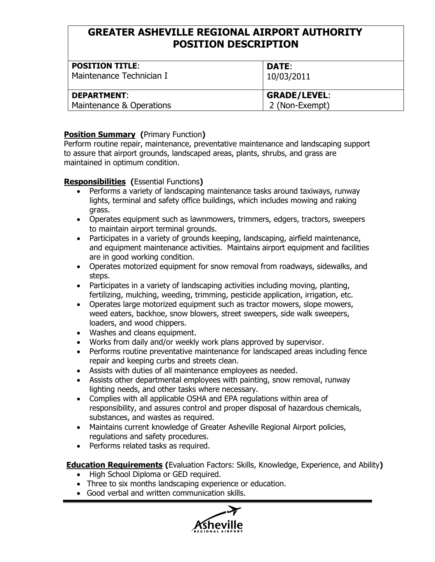# **GREATER ASHEVILLE REGIONAL AIRPORT AUTHORITY POSITION DESCRIPTION**

| <b>POSITION TITLE:</b><br>Maintenance Technician I | <b>DATE:</b><br>10/03/2011 |
|----------------------------------------------------|----------------------------|
| <b>DEPARTMENT:</b>                                 | <b>GRADE/LEVEL:</b>        |
| Maintenance & Operations                           | 2 (Non-Exempt)             |

### **Position Summary (**Primary Function**)**

Perform routine repair, maintenance, preventative maintenance and landscaping support to assure that airport grounds, landscaped areas, plants, shrubs, and grass are maintained in optimum condition.

## **Responsibilities (**Essential Functions**)**

- Performs a variety of landscaping maintenance tasks around taxiways, runway lights, terminal and safety office buildings, which includes mowing and raking grass.
- Operates equipment such as lawnmowers, trimmers, edgers, tractors, sweepers to maintain airport terminal grounds.
- Participates in a variety of grounds keeping, landscaping, airfield maintenance, and equipment maintenance activities. Maintains airport equipment and facilities are in good working condition.
- Operates motorized equipment for snow removal from roadways, sidewalks, and steps.
- Participates in a variety of landscaping activities including moving, planting, fertilizing, mulching, weeding, trimming, pesticide application, irrigation, etc.
- Operates large motorized equipment such as tractor mowers, slope mowers, weed eaters, backhoe, snow blowers, street sweepers, side walk sweepers, loaders, and wood chippers.
- Washes and cleans equipment.
- Works from daily and/or weekly work plans approved by supervisor.
- Performs routine preventative maintenance for landscaped areas including fence repair and keeping curbs and streets clean.
- Assists with duties of all maintenance employees as needed.
- Assists other departmental employees with painting, snow removal, runway lighting needs, and other tasks where necessary.
- Complies with all applicable OSHA and EPA regulations within area of responsibility, and assures control and proper disposal of hazardous chemicals, substances, and wastes as required.
- Maintains current knowledge of Greater Asheville Regional Airport policies, regulations and safety procedures.
- Performs related tasks as required.

**Education Requirements (**Evaluation Factors: Skills, Knowledge, Experience, and Ability**)**

- High School Diploma or GED required.
- Three to six months landscaping experience or education.
- Good verbal and written communication skills.

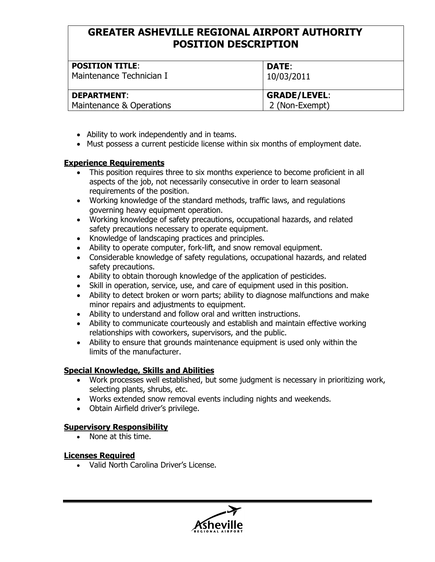# **GREATER ASHEVILLE REGIONAL AIRPORT AUTHORITY POSITION DESCRIPTION**

| <b>POSITION TITLE:</b><br>Maintenance Technician I | <b>DATE:</b><br>10/03/2011 |
|----------------------------------------------------|----------------------------|
| <b>DEPARTMENT:</b>                                 | <b>GRADE/LEVEL:</b>        |
| Maintenance & Operations                           | 2 (Non-Exempt)             |

- Ability to work independently and in teams.
- Must possess a current pesticide license within six months of employment date.

#### **Experience Requirements**

- This position requires three to six months experience to become proficient in all aspects of the job, not necessarily consecutive in order to learn seasonal requirements of the position.
- Working knowledge of the standard methods, traffic laws, and regulations governing heavy equipment operation.
- Working knowledge of safety precautions, occupational hazards, and related safety precautions necessary to operate equipment.
- Knowledge of landscaping practices and principles.
- Ability to operate computer, fork-lift, and snow removal equipment.
- Considerable knowledge of safety regulations, occupational hazards, and related safety precautions.
- Ability to obtain thorough knowledge of the application of pesticides.
- Skill in operation, service, use, and care of equipment used in this position.
- Ability to detect broken or worn parts; ability to diagnose malfunctions and make minor repairs and adjustments to equipment.
- Ability to understand and follow oral and written instructions.
- Ability to communicate courteously and establish and maintain effective working relationships with coworkers, supervisors, and the public.
- Ability to ensure that grounds maintenance equipment is used only within the limits of the manufacturer.

### **Special Knowledge, Skills and Abilities**

- Work processes well established, but some judgment is necessary in prioritizing work, selecting plants, shrubs, etc.
- Works extended snow removal events including nights and weekends.
- Obtain Airfield driver's privilege.

### **Supervisory Responsibility**

• None at this time.

### **Licenses Required**

• Valid North Carolina Driver's License.